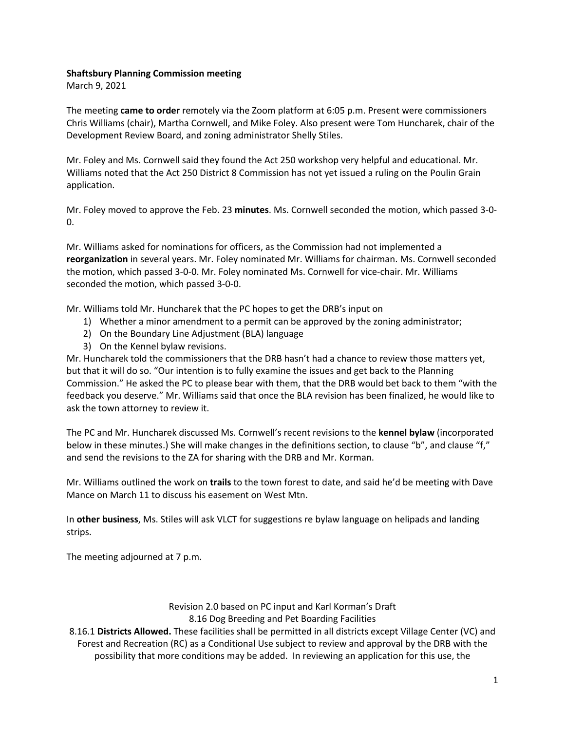## **Shaftsbury Planning Commission meeting**

March 9, 2021

The meeting **came to order** remotely via the Zoom platform at 6:05 p.m. Present were commissioners Chris Williams (chair), Martha Cornwell, and Mike Foley. Also present were Tom Huncharek, chair of the Development Review Board, and zoning administrator Shelly Stiles.

Mr. Foley and Ms. Cornwell said they found the Act 250 workshop very helpful and educational. Mr. Williams noted that the Act 250 District 8 Commission has not yet issued a ruling on the Poulin Grain application.

Mr. Foley moved to approve the Feb. 23 **minutes**. Ms. Cornwell seconded the motion, which passed 3-0- 0.

Mr. Williams asked for nominations for officers, as the Commission had not implemented a **reorganization** in several years. Mr. Foley nominated Mr. Williams for chairman. Ms. Cornwell seconded the motion, which passed 3-0-0. Mr. Foley nominated Ms. Cornwell for vice-chair. Mr. Williams seconded the motion, which passed 3-0-0.

Mr. Williams told Mr. Huncharek that the PC hopes to get the DRB's input on

- 1) Whether a minor amendment to a permit can be approved by the zoning administrator;
- 2) On the Boundary Line Adjustment (BLA) language
- 3) On the Kennel bylaw revisions.

Mr. Huncharek told the commissioners that the DRB hasn't had a chance to review those matters yet, but that it will do so. "Our intention is to fully examine the issues and get back to the Planning Commission." He asked the PC to please bear with them, that the DRB would bet back to them "with the feedback you deserve." Mr. Williams said that once the BLA revision has been finalized, he would like to ask the town attorney to review it.

The PC and Mr. Huncharek discussed Ms. Cornwell's recent revisions to the **kennel bylaw** (incorporated below in these minutes.) She will make changes in the definitions section, to clause "b", and clause "f," and send the revisions to the ZA for sharing with the DRB and Mr. Korman.

Mr. Williams outlined the work on **trails** to the town forest to date, and said he'd be meeting with Dave Mance on March 11 to discuss his easement on West Mtn.

In **other business**, Ms. Stiles will ask VLCT for suggestions re bylaw language on helipads and landing strips.

The meeting adjourned at 7 p.m.

## Revision 2.0 based on PC input and Karl Korman's Draft 8.16 Dog Breeding and Pet Boarding Facilities

8.16.1 **Districts Allowed.** These facilities shall be permitted in all districts except Village Center (VC) and Forest and Recreation (RC) as a Conditional Use subject to review and approval by the DRB with the possibility that more conditions may be added. In reviewing an application for this use, the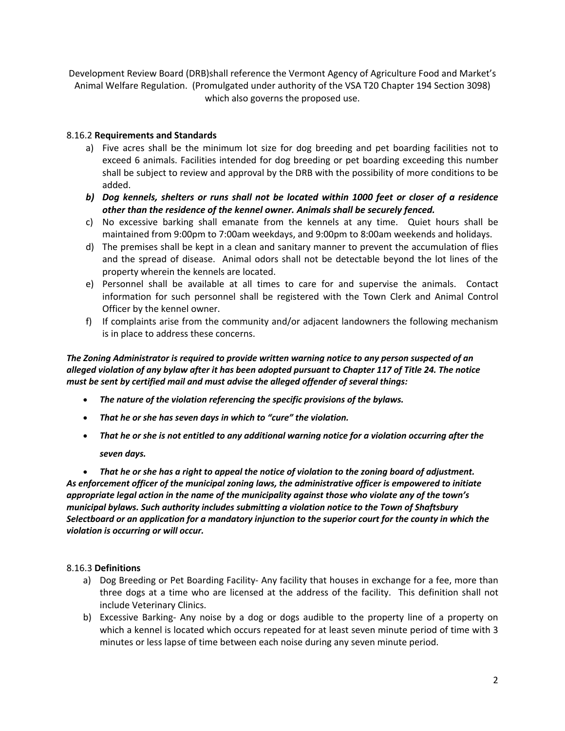Development Review Board (DRB)shall reference the Vermont Agency of Agriculture Food and Market's Animal Welfare Regulation. (Promulgated under authority of the VSA T20 Chapter 194 Section 3098) which also governs the proposed use.

## 8.16.2 **Requirements and Standards**

- a) Five acres shall be the minimum lot size for dog breeding and pet boarding facilities not to exceed 6 animals. Facilities intended for dog breeding or pet boarding exceeding this number shall be subject to review and approval by the DRB with the possibility of more conditions to be added.
- *b) Dog kennels, shelters or runs shall not be located within 1000 feet or closer of a residence other than the residence of the kennel owner. Animals shall be securely fenced.*
- c) No excessive barking shall emanate from the kennels at any time. Quiet hours shall be maintained from 9:00pm to 7:00am weekdays, and 9:00pm to 8:00am weekends and holidays.
- d) The premises shall be kept in a clean and sanitary manner to prevent the accumulation of flies and the spread of disease. Animal odors shall not be detectable beyond the lot lines of the property wherein the kennels are located.
- e) Personnel shall be available at all times to care for and supervise the animals. Contact information for such personnel shall be registered with the Town Clerk and Animal Control Officer by the kennel owner.
- f) If complaints arise from the community and/or adjacent landowners the following mechanism is in place to address these concerns.

*The Zoning Administrator is required to provide written warning notice to any person suspected of an alleged violation of any bylaw after it has been adopted pursuant to Chapter 117 of Title 24. The notice must be sent by certified mail and must advise the alleged offender of several things:*

- *The nature of the violation referencing the specific provisions of the bylaws.*
- *That he or she has seven days in which to "cure" the violation.*
- *That he or she is not entitled to any additional warning notice for a violation occurring after the*

*seven days.*

• *That he or she has a right to appeal the notice of violation to the zoning board of adjustment. As enforcement officer of the municipal zoning laws, the administrative officer is empowered to initiate appropriate legal action in the name of the municipality against those who violate any of the town's municipal bylaws. Such authority includes submitting a violation notice to the Town of Shaftsbury Selectboard or an application for a mandatory injunction to the superior court for the county in which the violation is occurring or will occur.*

## 8.16.3 **Definitions**

- a) Dog Breeding or Pet Boarding Facility- Any facility that houses in exchange for a fee, more than three dogs at a time who are licensed at the address of the facility. This definition shall not include Veterinary Clinics.
- b) Excessive Barking- Any noise by a dog or dogs audible to the property line of a property on which a kennel is located which occurs repeated for at least seven minute period of time with 3 minutes or less lapse of time between each noise during any seven minute period.